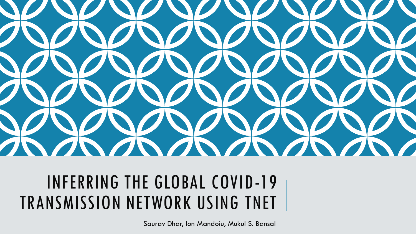

# INFERRING THE GLOBAL COVID-19 TRANSMISSION NETWORK USING TNET

Saurav Dhar, Ion Mandoiu, Mukul S. Bansal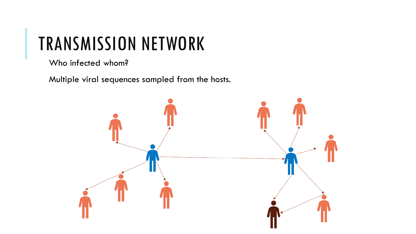# TRANSMISSION NETWORK

Who infected whom?

Multiple viral sequences sampled from the hosts.

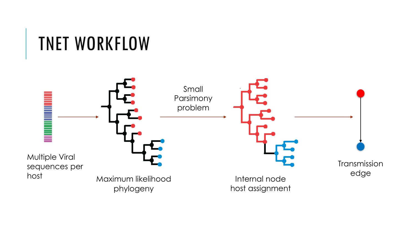# TNET WORKFLOW

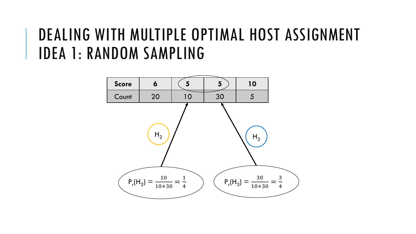#### DEALING WITH MULTIPLE OPTIMAL HOST ASSIGNMENT IDEA 1: RANDOM SAMPLING

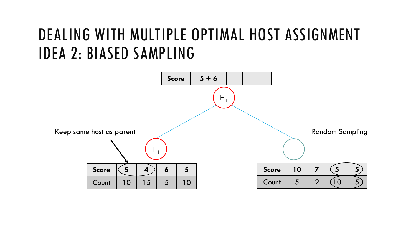#### DEALING WITH MULTIPLE OPTIMAL HOST ASSIGNMENT IDEA 2: BIASED SAMPLING

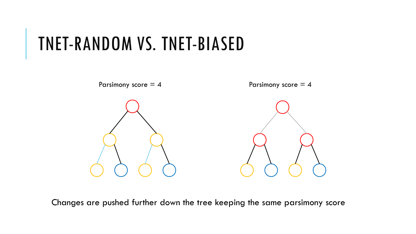## TNET-RANDOM VS. TNET-BIASED



Changes are pushed further down the tree keeping the same parsimony score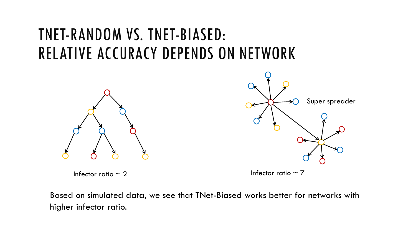#### TNET-RANDOM VS. TNET-BIASED: RELATIVE ACCURACY DEPENDS ON NETWORK



Infector ratio  $\sim 2$  Infector ratio  $\sim 7$ 



Based on simulated data, we see that TNet-Biased works better for networks with higher infector ratio.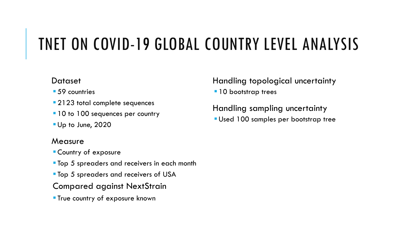### TNET ON COVID-19 GLOBAL COUNTRY LEVEL ANALYSIS

#### **Dataset**

- 59 countries
- **2123 total complete sequences**
- 10 to 100 sequences per country
- **Up to June, 2020**

#### **Measure**

- ▪Country of exposure
- **Top 5 spreaders and receivers in each month**
- **Top 5 spreaders and receivers of USA**
- Compared against NextStrain
- **True country of exposure known**

Handling topological uncertainty

 $\blacksquare$  10 bootstrap trees

Handling sampling uncertainty **Used 100 samples per bootstrap tree**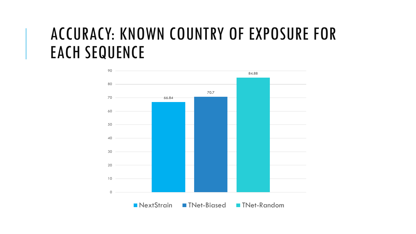#### ACCURACY: KNOWN COUNTRY OF EXPOSURE FOR EACH SEQUENCE

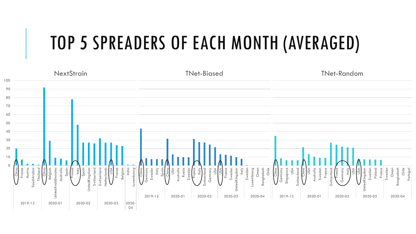## TOP 5 SPREADERS OF EACH MONTH (AVERAGED)

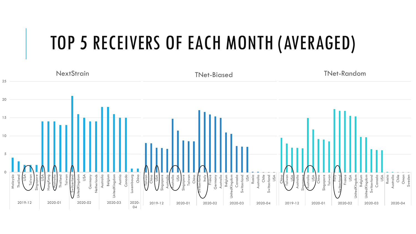## TOP 5 RECEIVERS OF EACH MONTH (AVERAGED)

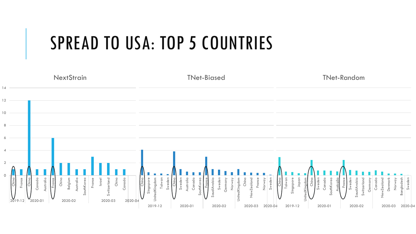## SPREAD TO USA: TOP 5 COUNTRIES

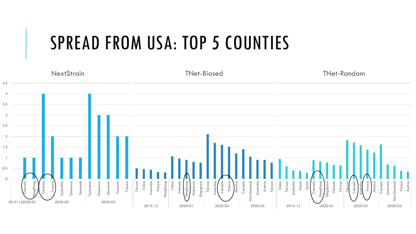## SPREAD FROM USA: TOP 5 COUNTIES

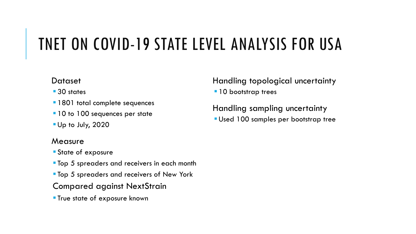#### TNET ON COVID-19 STATE LEVEL ANALYSIS FOR USA

#### **Dataset**

- 30 states
- **1801 total complete sequences**
- **.10 to 100 sequences per state**
- ▪Up to July, 2020

#### **Measure**

- **State of exposure**
- **Top 5 spreaders and receivers in each month**
- **Top 5 spreaders and receivers of New York**
- Compared against NextStrain
- **True state of exposure known**

Handling topological uncertainty

 $\blacksquare$  10 bootstrap trees

Handling sampling uncertainty **Used 100 samples per bootstrap tree**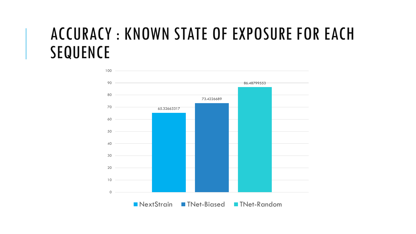#### ACCURACY : KNOWN STATE OF EXPOSURE FOR EACH SEQUENCE

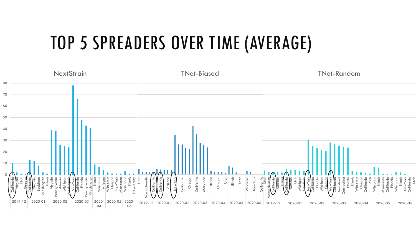# TOP 5 SPREADERS OVER TIME (AVERAGE)

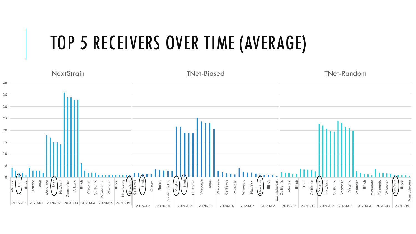# TOP 5 RECEIVERS OVER TIME (AVERAGE)

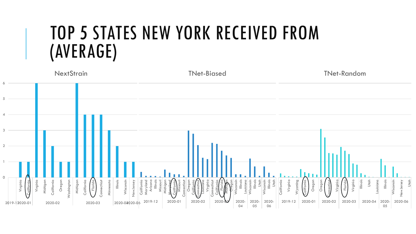## TOP 5 STATES NEW YORK RECEIVED FROM (AVERAGE)

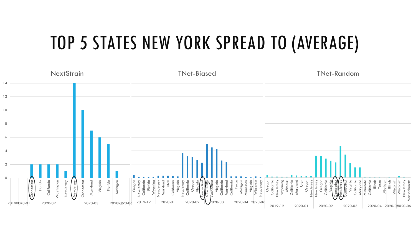# TOP 5 STATES NEW YORK SPREAD TO (AVERAGE)

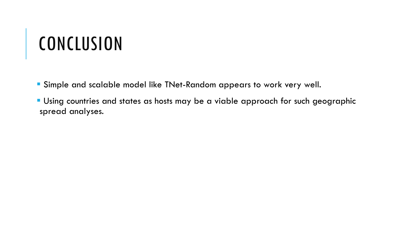# **CONCLUSION**

- Simple and scalable model like TNet-Random appears to work very well.
- Using countries and states as hosts may be a viable approach for such geographic spread analyses.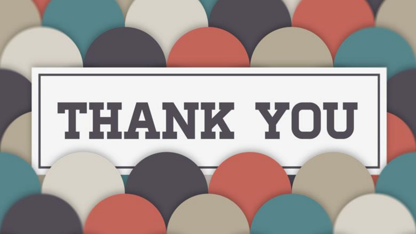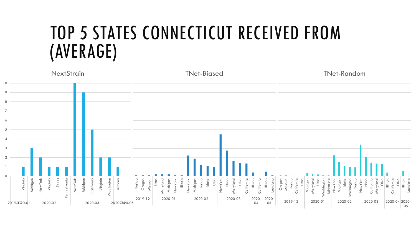## TOP 5 STATES CONNECTICUT RECEIVED FROM (AVERAGE)

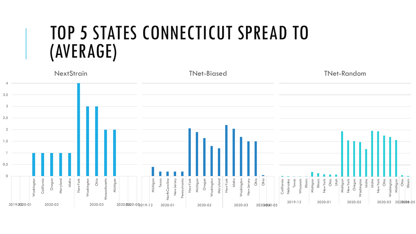### TOP 5 STATES CONNECTICUT SPREAD TO (AVERAGE)

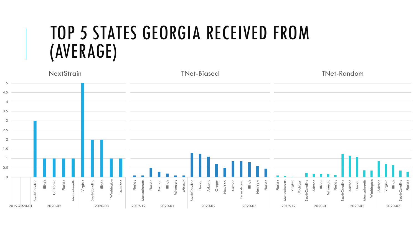## TOP 5 STATES GEORGIA RECEIVED FROM (AVERAGE)